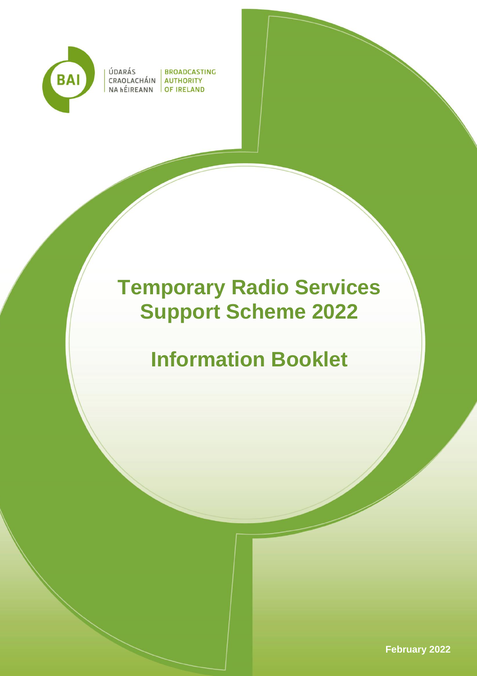

ÚDARÁS

**BROADCASTING** CRAOLACHÁIN AUTHORITY NA hÉIREANN OF IRELAND

# **Temporary Radio Services Support Scheme 2022**

# **Information Booklet**

**February 2022**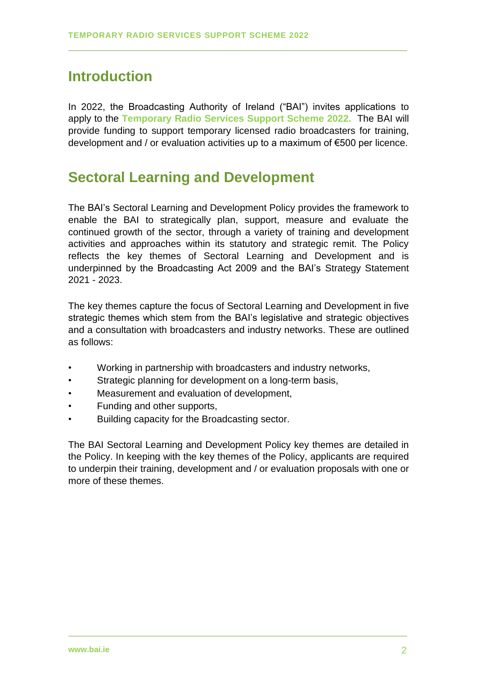# **Introduction**

In 2022, the Broadcasting Authority of Ireland ("BAI") invites applications to apply to the **Temporary Radio Services Support Scheme 2022.** The BAI will provide funding to support temporary licensed radio broadcasters for training, development and / or evaluation activities up to a maximum of €500 per licence.

# **Sectoral Learning and Development**

The BAI's Sectoral Learning and Development Policy provides the framework to enable the BAI to strategically plan, support, measure and evaluate the continued growth of the sector, through a variety of training and development activities and approaches within its statutory and strategic remit. The Policy reflects the key themes of Sectoral Learning and Development and is underpinned by the Broadcasting Act 2009 and the BAI's Strategy Statement 2021 - 2023.

The key themes capture the focus of Sectoral Learning and Development in five strategic themes which stem from the BAI's legislative and strategic objectives and a consultation with broadcasters and industry networks. These are outlined as follows:

- Working in partnership with broadcasters and industry networks,
- Strategic planning for development on a long-term basis,
- Measurement and evaluation of development,
- Funding and other supports,
- Building capacity for the Broadcasting sector.

The BAI Sectoral Learning and Development Policy key themes are detailed in the Policy. In keeping with the key themes of the Policy, applicants are required to underpin their training, development and / or evaluation proposals with one or more of these themes.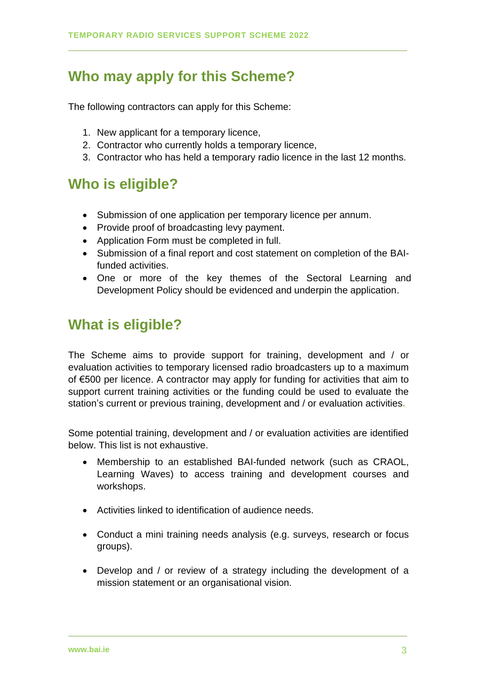# **Who may apply for this Scheme?**

The following contractors can apply for this Scheme:

- 1. New applicant for a temporary licence,
- 2. Contractor who currently holds a temporary licence,
- 3. Contractor who has held a temporary radio licence in the last 12 months.

# **Who is eligible?**

- Submission of one application per temporary licence per annum.
- Provide proof of broadcasting levy payment.
- Application Form must be completed in full.
- Submission of a final report and cost statement on completion of the BAIfunded activities.
- One or more of the key themes of the Sectoral Learning and Development Policy should be evidenced and underpin the application.

# **What is eligible?**

The Scheme aims to provide support for training, development and / or evaluation activities to temporary licensed radio broadcasters up to a maximum of €500 per licence. A contractor may apply for funding for activities that aim to support current training activities or the funding could be used to evaluate the station's current or previous training, development and / or evaluation activities**.**

Some potential training, development and / or evaluation activities are identified below. This list is not exhaustive.

- Membership to an established BAI-funded network (such as CRAOL, Learning Waves) to access training and development courses and workshops.
- Activities linked to identification of audience needs.
- Conduct a mini training needs analysis (e.g. surveys, research or focus groups).
- Develop and / or review of a strategy including the development of a mission statement or an organisational vision.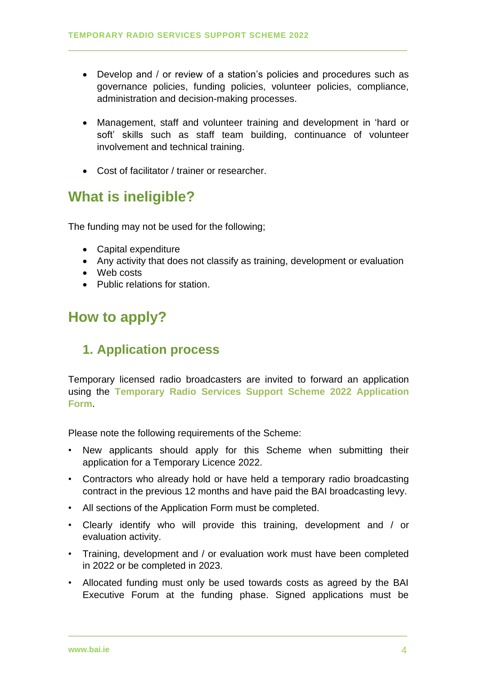- Develop and / or review of a station's policies and procedures such as governance policies, funding policies, volunteer policies, compliance, administration and decision-making processes.
- Management, staff and volunteer training and development in 'hard or soft' skills such as staff team building, continuance of volunteer involvement and technical training.
- Cost of facilitator / trainer or researcher.

# **What is ineligible?**

The funding may not be used for the following;

- Capital expenditure
- Any activity that does not classify as training, development or evaluation
- Web costs
- Public relations for station.

# **How to apply?**

## **1. Application process**

Temporary licensed radio broadcasters are invited to forward an application using the **Temporary Radio Services Support Scheme 2022 Application Form**.

Please note the following requirements of the Scheme:

- New applicants should apply for this Scheme when submitting their application for a Temporary Licence 2022.
- Contractors who already hold or have held a temporary radio broadcasting contract in the previous 12 months and have paid the BAI broadcasting levy.
- All sections of the Application Form must be completed.
- Clearly identify who will provide this training, development and / or evaluation activity.
- Training, development and / or evaluation work must have been completed in 2022 or be completed in 2023.
- Allocated funding must only be used towards costs as agreed by the BAI Executive Forum at the funding phase. Signed applications must be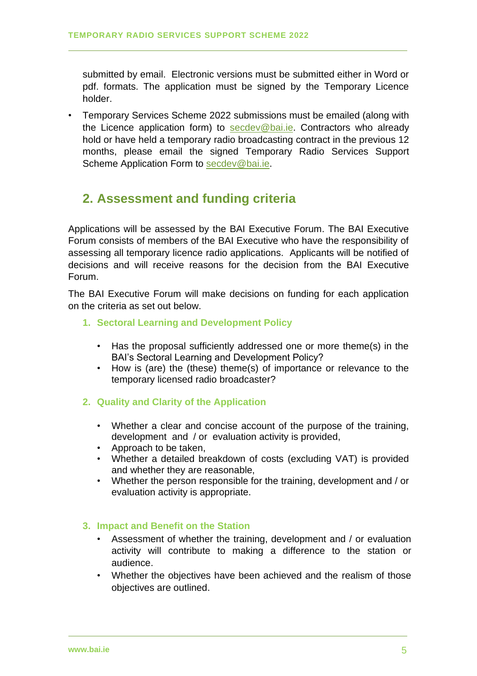submitted by email. Electronic versions must be submitted either in Word or pdf. formats. The application must be signed by the Temporary Licence holder.

• Temporary Services Scheme 2022 submissions must be emailed (along with the Licence application form) to [secdev@bai.ie.](mailto:secdev@bai.ie) Contractors who already hold or have held a temporary radio broadcasting contract in the previous 12 months, please email the signed Temporary Radio Services Support Scheme Application Form to [secdev@bai.ie.](mailto:secdev@bai.ie)

## **2. Assessment and funding criteria**

Applications will be assessed by the BAI Executive Forum. The BAI Executive Forum consists of members of the BAI Executive who have the responsibility of assessing all temporary licence radio applications. Applicants will be notified of decisions and will receive reasons for the decision from the BAI Executive Forum.

The BAI Executive Forum will make decisions on funding for each application on the criteria as set out below.

### **1. Sectoral Learning and Development Policy**

- Has the proposal sufficiently addressed one or more theme(s) in the BAI's Sectoral Learning and Development Policy?
- How is (are) the (these) theme(s) of importance or relevance to the temporary licensed radio broadcaster?
- **2. Quality and Clarity of the Application**
	- Whether a clear and concise account of the purpose of the training, development and / or evaluation activity is provided,
	- Approach to be taken,
	- Whether a detailed breakdown of costs (excluding VAT) is provided and whether they are reasonable,
	- Whether the person responsible for the training, development and / or evaluation activity is appropriate.

### **3. Impact and Benefit on the Station**

- Assessment of whether the training, development and / or evaluation activity will contribute to making a difference to the station or audience.
- Whether the objectives have been achieved and the realism of those objectives are outlined.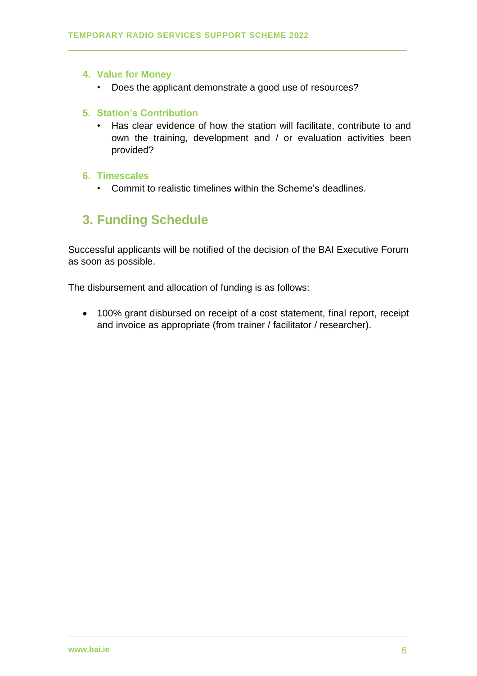#### **4. Value for Money**

• Does the applicant demonstrate a good use of resources?

#### **5. Station's Contribution**

• Has clear evidence of how the station will facilitate, contribute to and own the training, development and / or evaluation activities been provided?

#### **6. Timescales**

• Commit to realistic timelines within the Scheme's deadlines.

## **3. Funding Schedule**

Successful applicants will be notified of the decision of the BAI Executive Forum as soon as possible.

The disbursement and allocation of funding is as follows:

• 100% grant disbursed on receipt of a cost statement, final report, receipt and invoice as appropriate (from trainer / facilitator / researcher).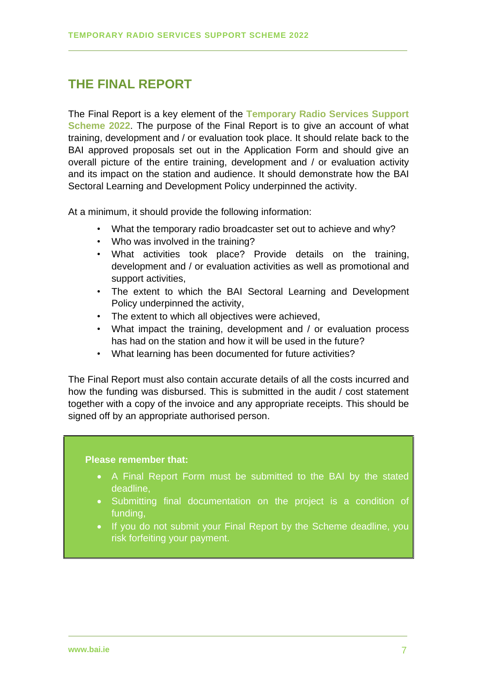## **THE FINAL REPORT**

The Final Report is a key element of the **Temporary Radio Services Support Scheme 2022**. The purpose of the Final Report is to give an account of what training, development and / or evaluation took place. It should relate back to the BAI approved proposals set out in the Application Form and should give an overall picture of the entire training, development and / or evaluation activity and its impact on the station and audience. It should demonstrate how the BAI Sectoral Learning and Development Policy underpinned the activity.

At a minimum, it should provide the following information:

- What the temporary radio broadcaster set out to achieve and why?
- Who was involved in the training?
- What activities took place? Provide details on the training, development and / or evaluation activities as well as promotional and support activities,
- The extent to which the BAI Sectoral Learning and Development Policy underpinned the activity,
- The extent to which all objectives were achieved,
- What impact the training, development and / or evaluation process has had on the station and how it will be used in the future?
- What learning has been documented for future activities?

The Final Report must also contain accurate details of all the costs incurred and how the funding was disbursed. This is submitted in the audit / cost statement together with a copy of the invoice and any appropriate receipts. This should be signed off by an appropriate authorised person.

#### **Please remember that:**

- A Final Report Form must be submitted to the BAI by the stated deadline,
- Submitting final documentation on the project is a condition of funding,
- If you do not submit your Final Report by the Scheme deadline, you risk forfeiting your payment.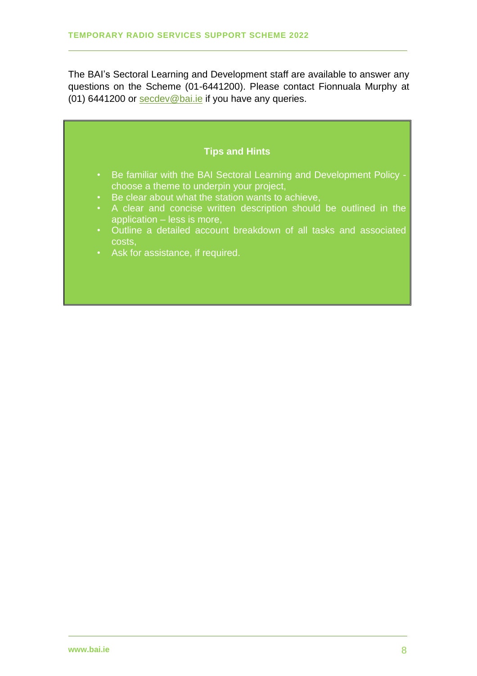The BAI's Sectoral Learning and Development staff are available to answer any questions on the Scheme (01-6441200). Please contact Fionnuala Murphy at (01) 6441200 or [secdev@bai.ie](mailto:secdev@bai.ie) if you have any queries.